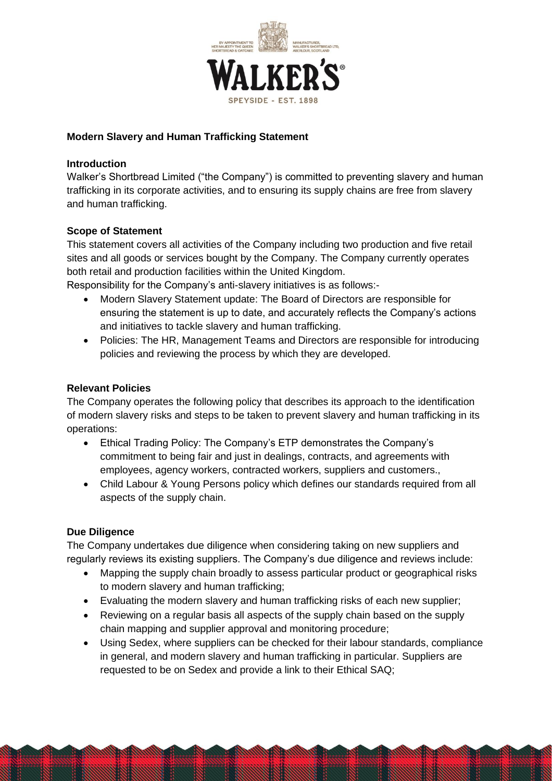

# **Modern Slavery and Human Trafficking Statement**

### **Introduction**

Walker's Shortbread Limited ("the Company") is committed to preventing slavery and human trafficking in its corporate activities, and to ensuring its supply chains are free from slavery and human trafficking.

## **Scope of Statement**

This statement covers all activities of the Company including two production and five retail sites and all goods or services bought by the Company. The Company currently operates both retail and production facilities within the United Kingdom.

Responsibility for the Company's anti-slavery initiatives is as follows:-

- Modern Slavery Statement update: The Board of Directors are responsible for ensuring the statement is up to date, and accurately reflects the Company's actions and initiatives to tackle slavery and human trafficking.
- Policies: The HR, Management Teams and Directors are responsible for introducing policies and reviewing the process by which they are developed.

## **Relevant Policies**

The Company operates the following policy that describes its approach to the identification of modern slavery risks and steps to be taken to prevent slavery and human trafficking in its operations:

- Ethical Trading Policy: The Company's ETP demonstrates the Company's commitment to being fair and just in dealings, contracts, and agreements with employees, agency workers, contracted workers, suppliers and customers.,
- Child Labour & Young Persons policy which defines our standards required from all aspects of the supply chain.

## **Due Diligence**

The Company undertakes due diligence when considering taking on new suppliers and regularly reviews its existing suppliers. The Company's due diligence and reviews include:

- Mapping the supply chain broadly to assess particular product or geographical risks to modern slavery and human trafficking;
- Evaluating the modern slavery and human trafficking risks of each new supplier;
- Reviewing on a regular basis all aspects of the supply chain based on the supply chain mapping and supplier approval and monitoring procedure;
- Using Sedex, where suppliers can be checked for their labour standards, compliance in general, and modern slavery and human trafficking in particular. Suppliers are requested to be on Sedex and provide a link to their Ethical SAQ;